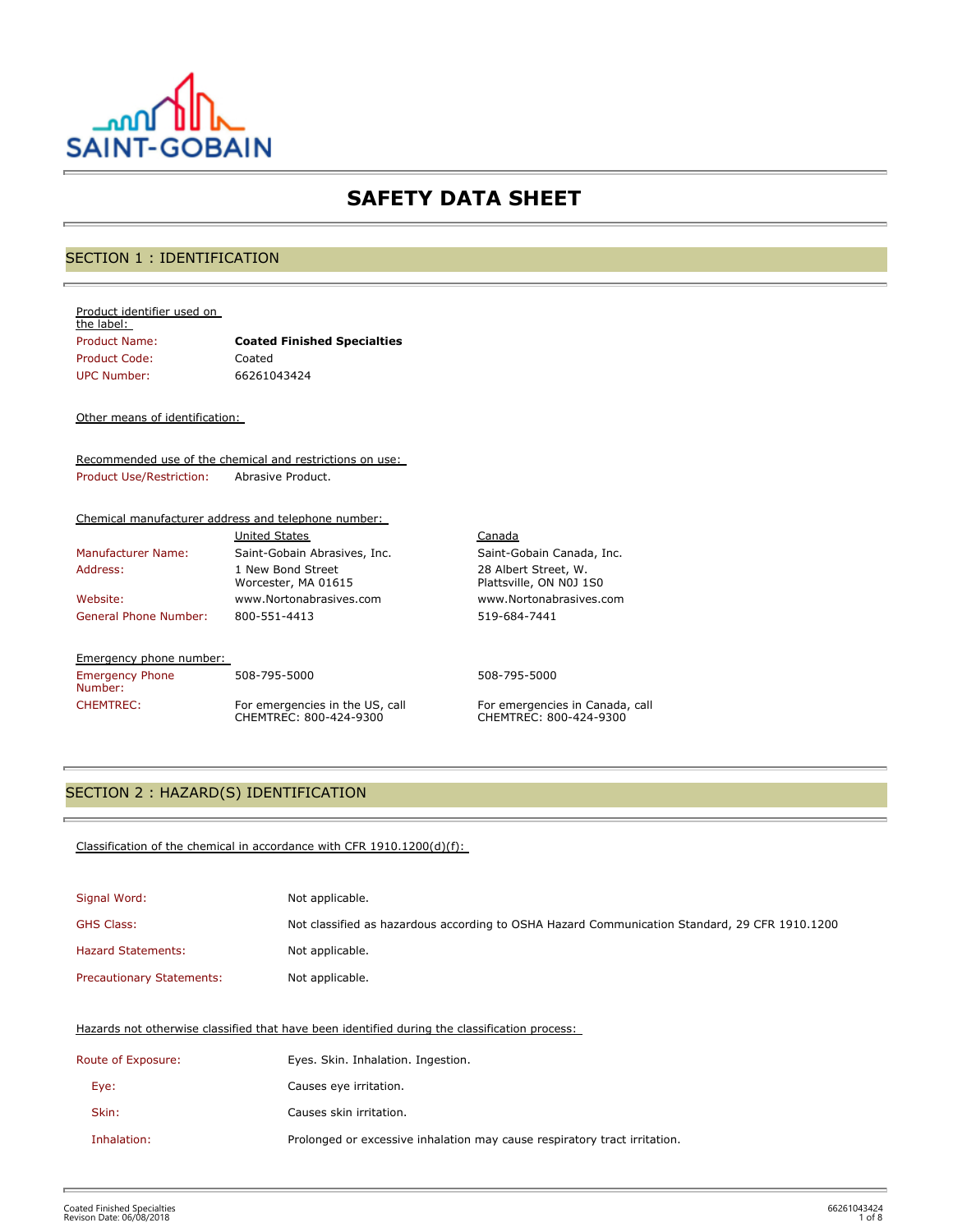

## **SAFETY DATA SHEET**

## SECTION 1 : IDENTIFICATION

#### Product identifier used on

| the label:    |                                    |
|---------------|------------------------------------|
| Product Name: | <b>Coated Finished Specialties</b> |
| Product Code: | Coated                             |
| UPC Number:   | 66261043424                        |

### Other means of identification:

Recommended use of the chemical and restrictions on use: Product Use/Restriction: Abrasive Product.

### Chemical manufacturer address and telephone number:

| <b>United States</b>                     |
|------------------------------------------|
| Saint-Gobain Abrasives, Inc.             |
| 1 New Bond Street<br>Worcester, MA 01615 |
| www.Nortonabrasives.com                  |
| 800-551-4413                             |
|                                          |

### Emergency phone number:

Emergency Phone Number:

508-795-5000 508-795-5000 CHEMTREC: For emergencies in the US, call CHEMTREC: 800-424-9300

Canada Saint-Gobain Canada, Inc. 28 Albert Street, W. Plattsville, ON N0J 1S0 www.Nortonabrasives.com 519-684-7441

For emergencies in Canada, call CHEMTREC: 800-424-9300

## SECTION 2 : HAZARD(S) IDENTIFICATION

### Classification of the chemical in accordance with CFR 1910.1200(d)(f):

| Signal Word:                     | Not applicable.                                                                               |
|----------------------------------|-----------------------------------------------------------------------------------------------|
| <b>GHS Class:</b>                | Not classified as hazardous according to OSHA Hazard Communication Standard, 29 CFR 1910.1200 |
| <b>Hazard Statements:</b>        | Not applicable.                                                                               |
| <b>Precautionary Statements:</b> | Not applicable.                                                                               |

### Hazards not otherwise classified that have been identified during the classification process:

| Route of Exposure: | Eyes. Skin. Inhalation. Ingestion.                                        |
|--------------------|---------------------------------------------------------------------------|
| Eye:               | Causes eye irritation.                                                    |
| Skin:              | Causes skin irritation.                                                   |
| Inhalation:        | Prolonged or excessive inhalation may cause respiratory tract irritation. |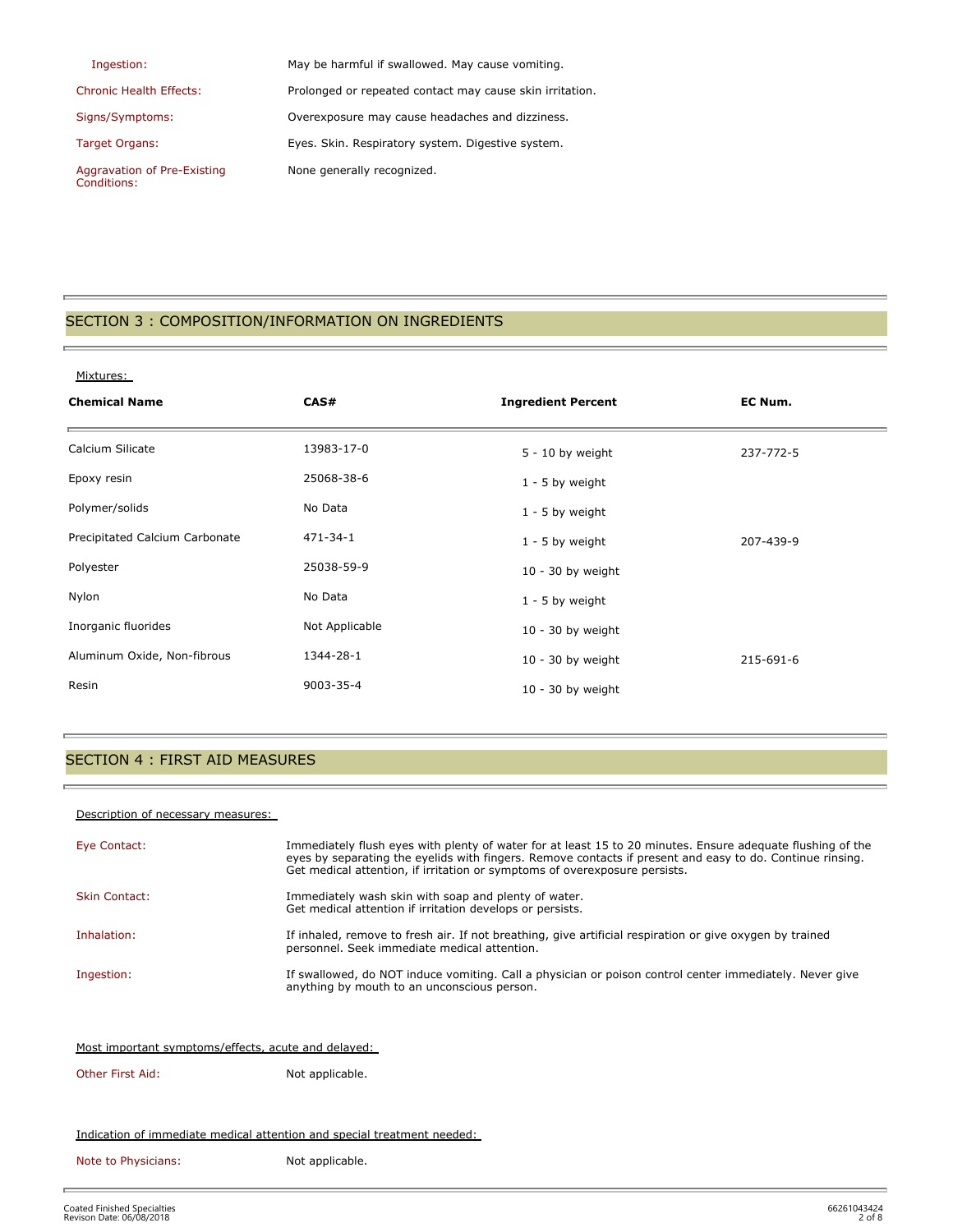| Ingestion:                     | May be harmful if swallowed. May cause vomiting.         |
|--------------------------------|----------------------------------------------------------|
| <b>Chronic Health Effects:</b> | Prolonged or repeated contact may cause skin irritation. |
| Signs/Symptoms:                | Overexposure may cause headaches and dizziness.          |
| Target Organs:                 | Eyes. Skin. Respiratory system. Digestive system.        |
| Aggravation of Pre-Existing    | None generally recognized.                               |

## SECTION 3 : COMPOSITION/INFORMATION ON INGREDIENTS

### Mixtures:

Conditions:

| <b>Chemical Name</b>           | CAS#           | <b>Ingredient Percent</b> | EC Num.   |
|--------------------------------|----------------|---------------------------|-----------|
| Calcium Silicate               | 13983-17-0     | $5 - 10$ by weight        | 237-772-5 |
| Epoxy resin                    | 25068-38-6     | $1 - 5$ by weight         |           |
| Polymer/solids                 | No Data        | $1 - 5$ by weight         |           |
| Precipitated Calcium Carbonate | 471-34-1       | $1 - 5$ by weight         | 207-439-9 |
| Polyester                      | 25038-59-9     | $10 - 30$ by weight       |           |
| Nylon                          | No Data        | $1 - 5$ by weight         |           |
| Inorganic fluorides            | Not Applicable | $10 - 30$ by weight       |           |
| Aluminum Oxide, Non-fibrous    | 1344-28-1      | $10 - 30$ by weight       | 215-691-6 |
| Resin                          | 9003-35-4      | $10 - 30$ by weight       |           |

## SECTION 4 : FIRST AID MEASURES

### Description of necessary measures:

ř.

| Eye Contact:                                        | Immediately flush eyes with plenty of water for at least 15 to 20 minutes. Ensure adequate flushing of the<br>eyes by separating the eyelids with fingers. Remove contacts if present and easy to do. Continue rinsing.<br>Get medical attention, if irritation or symptoms of overexposure persists. |  |  |
|-----------------------------------------------------|-------------------------------------------------------------------------------------------------------------------------------------------------------------------------------------------------------------------------------------------------------------------------------------------------------|--|--|
| <b>Skin Contact:</b>                                | Immediately wash skin with soap and plenty of water.<br>Get medical attention if irritation develops or persists.                                                                                                                                                                                     |  |  |
| Inhalation:                                         | If inhaled, remove to fresh air. If not breathing, give artificial respiration or give oxygen by trained<br>personnel. Seek immediate medical attention.                                                                                                                                              |  |  |
| Ingestion:                                          | If swallowed, do NOT induce vomiting. Call a physician or poison control center immediately. Never give<br>anything by mouth to an unconscious person.                                                                                                                                                |  |  |
|                                                     |                                                                                                                                                                                                                                                                                                       |  |  |
| Most important symptoms/effects, acute and delayed: |                                                                                                                                                                                                                                                                                                       |  |  |
| Other First Aid:                                    | Not applicable.                                                                                                                                                                                                                                                                                       |  |  |

### Indication of immediate medical attention and special treatment needed:

Note to Physicians: Not applicable.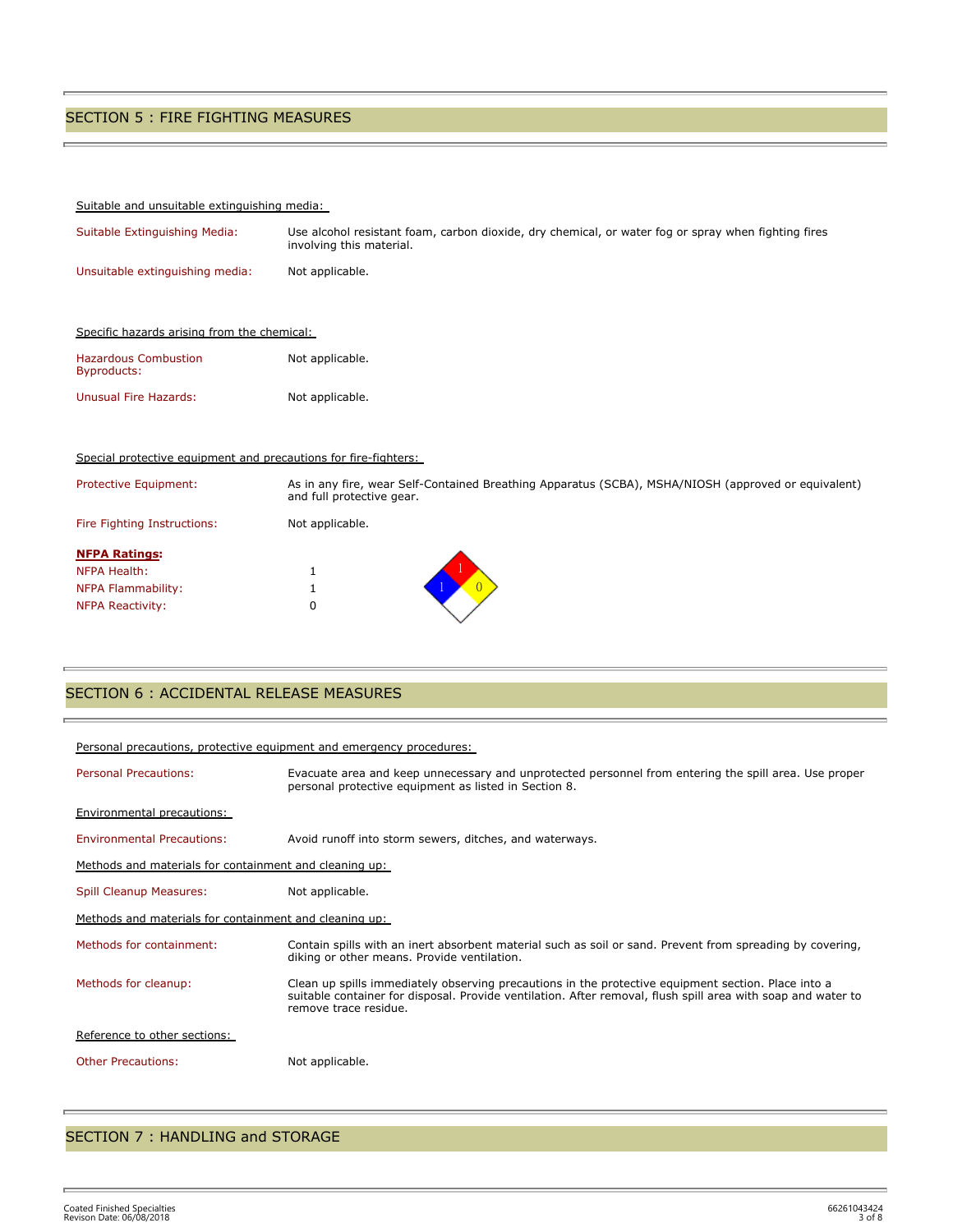## SECTION 5 : FIRE FIGHTING MEASURES

### Suitable and unsuitable extinguishing media:

| Suitable Extinguishing Media:               | Use alcohol resistant foam, carbon dioxide, dry chemical, or water fog or spray when fighting fires<br>involving this material. |
|---------------------------------------------|---------------------------------------------------------------------------------------------------------------------------------|
| Unsuitable extinguishing media:             | Not applicable.                                                                                                                 |
| Specific hazards arising from the chemical: |                                                                                                                                 |
| <b>Hazardous Combustion</b><br>Byproducts:  | Not applicable.                                                                                                                 |
| Unusual Fire Hazards:                       | Not applicable.                                                                                                                 |

### Special protective equipment and precautions for fire-fighters:

| Protective Equipment:       | As in any fire, wear Self-Contained Breathing Apparatus (SCBA), MSHA/NIOSH (approved or equivalent)<br>and full protective gear. |
|-----------------------------|----------------------------------------------------------------------------------------------------------------------------------|
| Fire Fighting Instructions: | Not applicable.                                                                                                                  |
| <b>NFPA Ratings:</b>        |                                                                                                                                  |
| NFPA Health:                | ┻                                                                                                                                |
| NFPA Flammability:          |                                                                                                                                  |
| <b>NFPA Reactivity:</b>     | U                                                                                                                                |

## SECTION 6 : ACCIDENTAL RELEASE MEASURES

| Personal precautions, protective equipment and emergency procedures: |                                                                                                                                                                                                                                              |  |  |  |
|----------------------------------------------------------------------|----------------------------------------------------------------------------------------------------------------------------------------------------------------------------------------------------------------------------------------------|--|--|--|
| <b>Personal Precautions:</b>                                         | Evacuate area and keep unnecessary and unprotected personnel from entering the spill area. Use proper<br>personal protective equipment as listed in Section 8.                                                                               |  |  |  |
| Environmental precautions:                                           |                                                                                                                                                                                                                                              |  |  |  |
| <b>Environmental Precautions:</b>                                    | Avoid runoff into storm sewers, ditches, and waterways.                                                                                                                                                                                      |  |  |  |
|                                                                      | Methods and materials for containment and cleaning up:                                                                                                                                                                                       |  |  |  |
| <b>Spill Cleanup Measures:</b>                                       | Not applicable.                                                                                                                                                                                                                              |  |  |  |
| Methods and materials for containment and cleaning up:               |                                                                                                                                                                                                                                              |  |  |  |
| Methods for containment:                                             | Contain spills with an inert absorbent material such as soil or sand. Prevent from spreading by covering,<br>diking or other means. Provide ventilation.                                                                                     |  |  |  |
| Methods for cleanup:                                                 | Clean up spills immediately observing precautions in the protective equipment section. Place into a<br>suitable container for disposal. Provide ventilation. After removal, flush spill area with soap and water to<br>remove trace residue. |  |  |  |
| Reference to other sections:                                         |                                                                                                                                                                                                                                              |  |  |  |
| <b>Other Precautions:</b>                                            | Not applicable.                                                                                                                                                                                                                              |  |  |  |

### SECTION 7 : HANDLING and STORAGE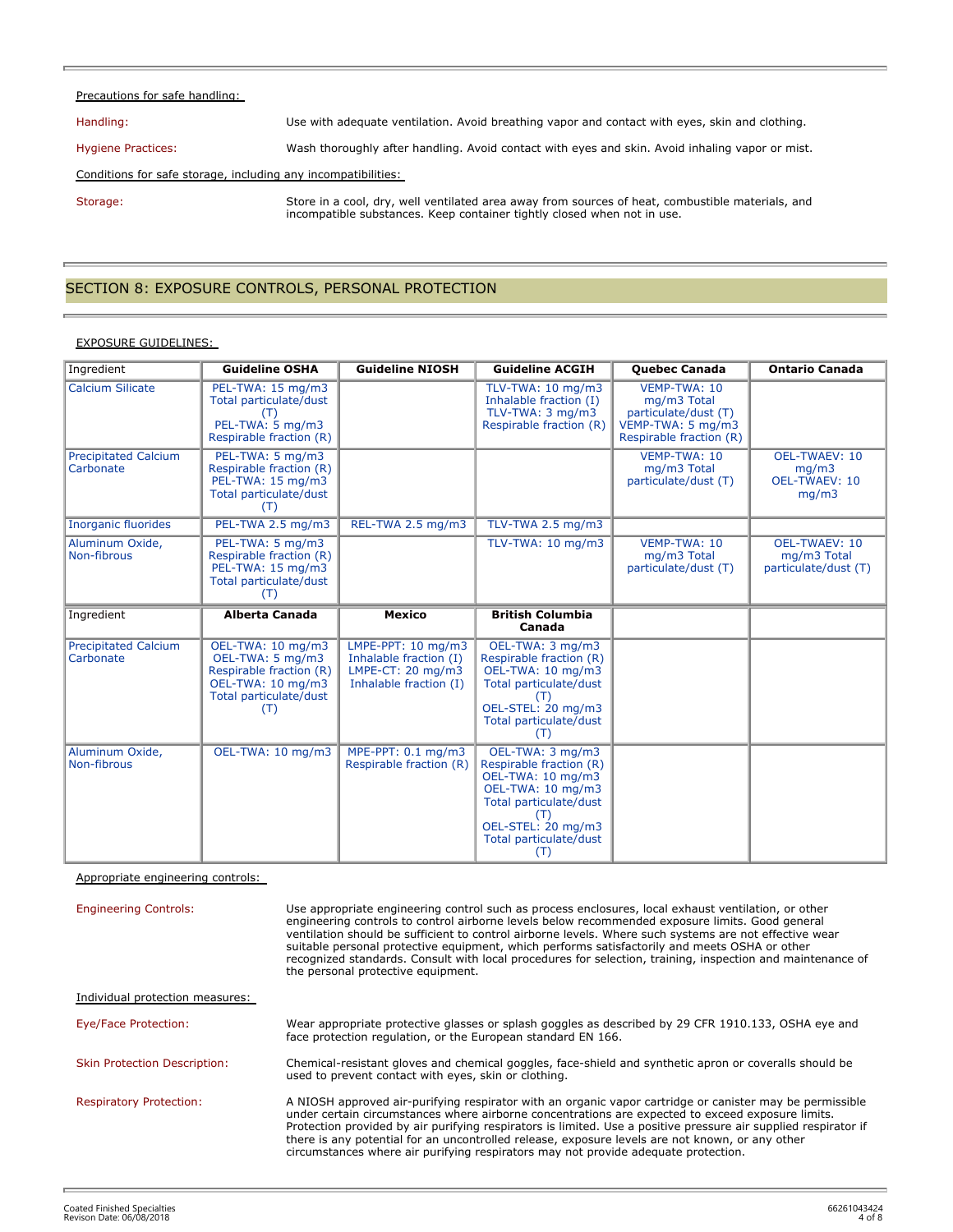### Precautions for safe handling:

Handling: Use with adequate ventilation. Avoid breathing vapor and contact with eyes, skin and clothing.

Hygiene Practices: Wash thoroughly after handling. Avoid contact with eyes and skin. Avoid inhaling vapor or mist.

Conditions for safe storage, including any incompatibilities:

Storage: Store in a cool, dry, well ventilated area away from sources of heat, combustible materials, and incompatible substances. Keep container tightly closed when not in use.

### SECTION 8: EXPOSURE CONTROLS, PERSONAL PROTECTION

### EXPOSURE GUIDELINES:

| Ingredient                               | <b>Guideline OSHA</b>                                                                                                  | <b>Guideline NIOSH</b>                                                                      | <b>Guideline ACGIH</b>                                                                                                                                                        | <b>Quebec Canada</b>                                                                                | <b>Ontario Canada</b>                                          |
|------------------------------------------|------------------------------------------------------------------------------------------------------------------------|---------------------------------------------------------------------------------------------|-------------------------------------------------------------------------------------------------------------------------------------------------------------------------------|-----------------------------------------------------------------------------------------------------|----------------------------------------------------------------|
| <b>Calcium Silicate</b>                  | PEL-TWA: 15 mg/m3<br>Total particulate/dust<br>(T)<br>PEL-TWA: 5 mg/m3<br>Respirable fraction (R)                      |                                                                                             | TLV-TWA: 10 mg/m3<br>Inhalable fraction (I)<br>TLV-TWA: 3 mg/m3<br>Respirable fraction (R)                                                                                    | VEMP-TWA: 10<br>mg/m3 Total<br>particulate/dust (T)<br>VEMP-TWA: 5 mg/m3<br>Respirable fraction (R) |                                                                |
| <b>Precipitated Calcium</b><br>Carbonate | PEL-TWA: 5 mg/m3<br>Respirable fraction (R)<br>PEL-TWA: 15 mg/m3<br>Total particulate/dust<br>(T)                      |                                                                                             |                                                                                                                                                                               | VEMP-TWA: 10<br>mg/m3 Total<br>particulate/dust (T)                                                 | <b>OEL-TWAEV: 10</b><br>mg/m3<br><b>OEL-TWAEV: 10</b><br>mg/m3 |
| <b>Inorganic fluorides</b>               | PEL-TWA 2.5 mg/m3                                                                                                      | REL-TWA 2.5 mg/m3                                                                           | TLV-TWA 2.5 mg/m3                                                                                                                                                             |                                                                                                     |                                                                |
| Aluminum Oxide,<br>Non-fibrous           | PEL-TWA: 5 mg/m3<br>Respirable fraction (R)<br>PEL-TWA: 15 mg/m3<br>Total particulate/dust<br>(T)                      |                                                                                             | TLV-TWA: 10 mg/m3                                                                                                                                                             | VEMP-TWA: 10<br>mg/m3 Total<br>particulate/dust (T)                                                 | <b>OEL-TWAEV: 10</b><br>mg/m3 Total<br>particulate/dust (T)    |
| Ingredient                               | <b>Alberta Canada</b>                                                                                                  | <b>Mexico</b>                                                                               | <b>British Columbia</b><br>Canada                                                                                                                                             |                                                                                                     |                                                                |
| <b>Precipitated Calcium</b><br>Carbonate | OEL-TWA: 10 mg/m3<br>OEL-TWA: 5 mg/m3<br>Respirable fraction (R)<br>OEL-TWA: 10 mg/m3<br>Total particulate/dust<br>(T) | LMPE-PPT: 10 mg/m3<br>Inhalable fraction (I)<br>LMPE-CT: 20 mg/m3<br>Inhalable fraction (I) | OEL-TWA: 3 mg/m3<br>Respirable fraction (R)<br>OEL-TWA: 10 mg/m3<br>Total particulate/dust<br>(T)<br>OEL-STEL: 20 mg/m3<br>Total particulate/dust<br>(T)                      |                                                                                                     |                                                                |
| Aluminum Oxide,<br>Non-fibrous           | OEL-TWA: 10 mg/m3                                                                                                      | MPE-PPT: 0.1 mg/m3<br>Respirable fraction (R)                                               | OEL-TWA: 3 mg/m3<br>Respirable fraction (R)<br>OEL-TWA: 10 mg/m3<br>OEL-TWA: 10 mg/m3<br>Total particulate/dust<br>(T)<br>OEL-STEL: 20 mg/m3<br>Total particulate/dust<br>(T) |                                                                                                     |                                                                |

Appropriate engineering controls:

Engineering Controls: Use appropriate engineering control such as process enclosures, local exhaust ventilation, or other engineering controls to control airborne levels below recommended exposure limits. Good general ventilation should be sufficient to control airborne levels. Where such systems are not effective wear suitable personal protective equipment, which performs satisfactorily and meets OSHA or other recognized standards. Consult with local procedures for selection, training, inspection and maintenance of the personal protective equipment.

| Individual protection measures:     |                                                                                                                                                                                                                                                                                                                                                                                                                                                                                                                           |
|-------------------------------------|---------------------------------------------------------------------------------------------------------------------------------------------------------------------------------------------------------------------------------------------------------------------------------------------------------------------------------------------------------------------------------------------------------------------------------------------------------------------------------------------------------------------------|
| Eye/Face Protection:                | Wear appropriate protective glasses or splash goggles as described by 29 CFR 1910.133, OSHA eye and<br>face protection regulation, or the European standard EN 166.                                                                                                                                                                                                                                                                                                                                                       |
| <b>Skin Protection Description:</b> | Chemical-resistant gloves and chemical goggles, face-shield and synthetic apron or coveralls should be<br>used to prevent contact with eyes, skin or clothing.                                                                                                                                                                                                                                                                                                                                                            |
| <b>Respiratory Protection:</b>      | A NIOSH approved air-purifying respirator with an organic vapor cartridge or canister may be permissible<br>under certain circumstances where airborne concentrations are expected to exceed exposure limits.<br>Protection provided by air purifying respirators is limited. Use a positive pressure air supplied respirator if<br>there is any potential for an uncontrolled release, exposure levels are not known, or any other<br>circumstances where air purifying respirators may not provide adequate protection. |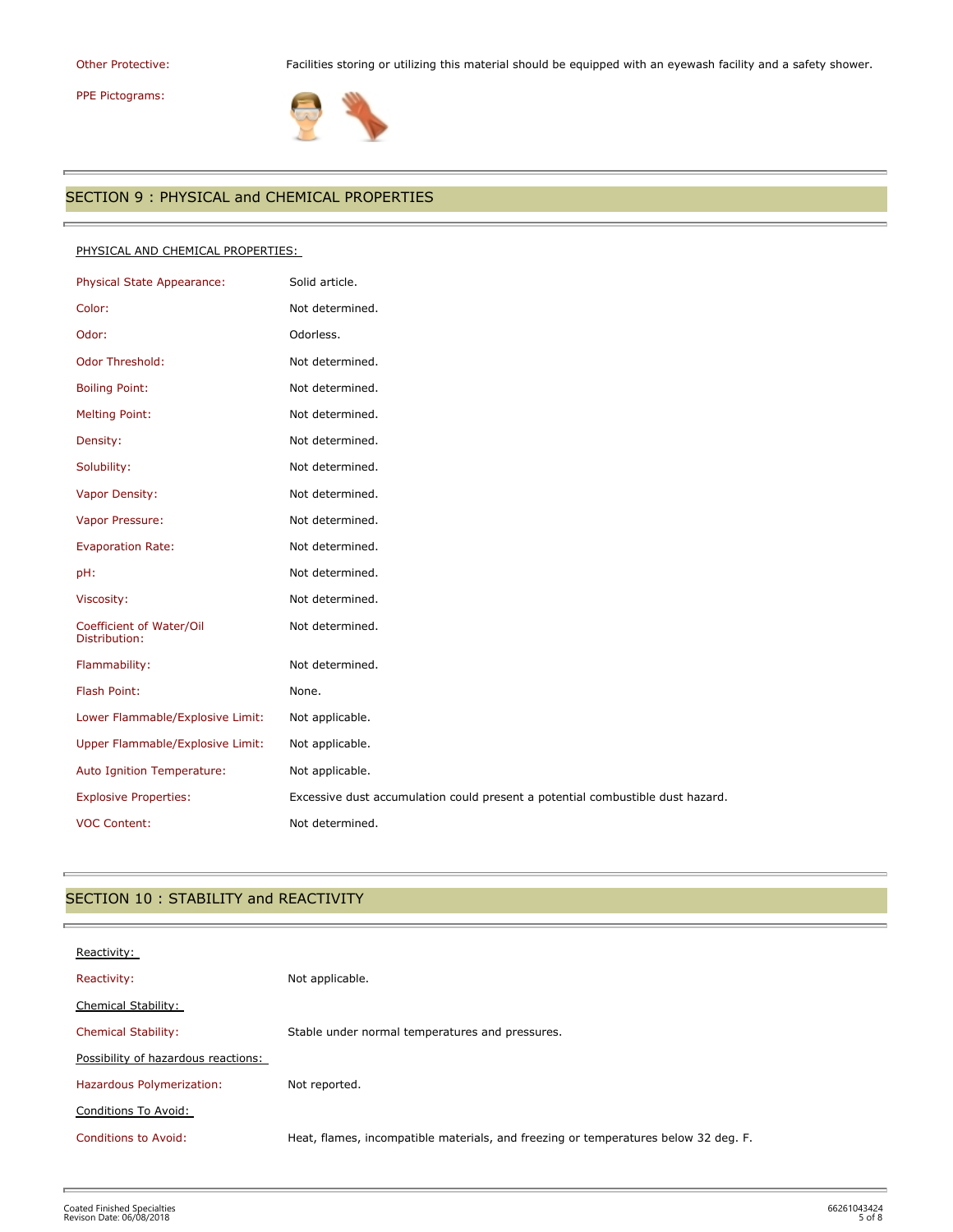# PPE Pictograms:

r.

Other Protective: Facilities storing or utilizing this material should be equipped with an eyewash facility and a safety shower.



## SECTION 9 : PHYSICAL and CHEMICAL PROPERTIES

### PHYSICAL AND CHEMICAL PROPERTIES:

| Physical State Appearance:                | Solid article.                                                                 |
|-------------------------------------------|--------------------------------------------------------------------------------|
| Color:                                    | Not determined.                                                                |
| Odor:                                     | Odorless.                                                                      |
| <b>Odor Threshold:</b>                    | Not determined.                                                                |
| <b>Boiling Point:</b>                     | Not determined.                                                                |
| <b>Melting Point:</b>                     | Not determined.                                                                |
| Density:                                  | Not determined.                                                                |
| Solubility:                               | Not determined.                                                                |
| Vapor Density:                            | Not determined.                                                                |
| Vapor Pressure:                           | Not determined.                                                                |
| <b>Evaporation Rate:</b>                  | Not determined.                                                                |
| pH:                                       | Not determined.                                                                |
| Viscosity:                                | Not determined.                                                                |
| Coefficient of Water/Oil<br>Distribution: | Not determined.                                                                |
| Flammability:                             | Not determined.                                                                |
| Flash Point:                              | None.                                                                          |
| Lower Flammable/Explosive Limit:          | Not applicable.                                                                |
| Upper Flammable/Explosive Limit:          | Not applicable.                                                                |
| Auto Ignition Temperature:                | Not applicable.                                                                |
| <b>Explosive Properties:</b>              | Excessive dust accumulation could present a potential combustible dust hazard. |
| <b>VOC Content:</b>                       | Not determined.                                                                |

## SECTION 10 : STABILITY and REACTIVITY

| Reactivity:                         |                                                                                     |
|-------------------------------------|-------------------------------------------------------------------------------------|
| Reactivity:                         | Not applicable.                                                                     |
| Chemical Stability:                 |                                                                                     |
| <b>Chemical Stability:</b>          | Stable under normal temperatures and pressures.                                     |
| Possibility of hazardous reactions: |                                                                                     |
| Hazardous Polymerization:           | Not reported.                                                                       |
| Conditions To Avoid:                |                                                                                     |
| Conditions to Avoid:                | Heat, flames, incompatible materials, and freezing or temperatures below 32 deg. F. |
|                                     |                                                                                     |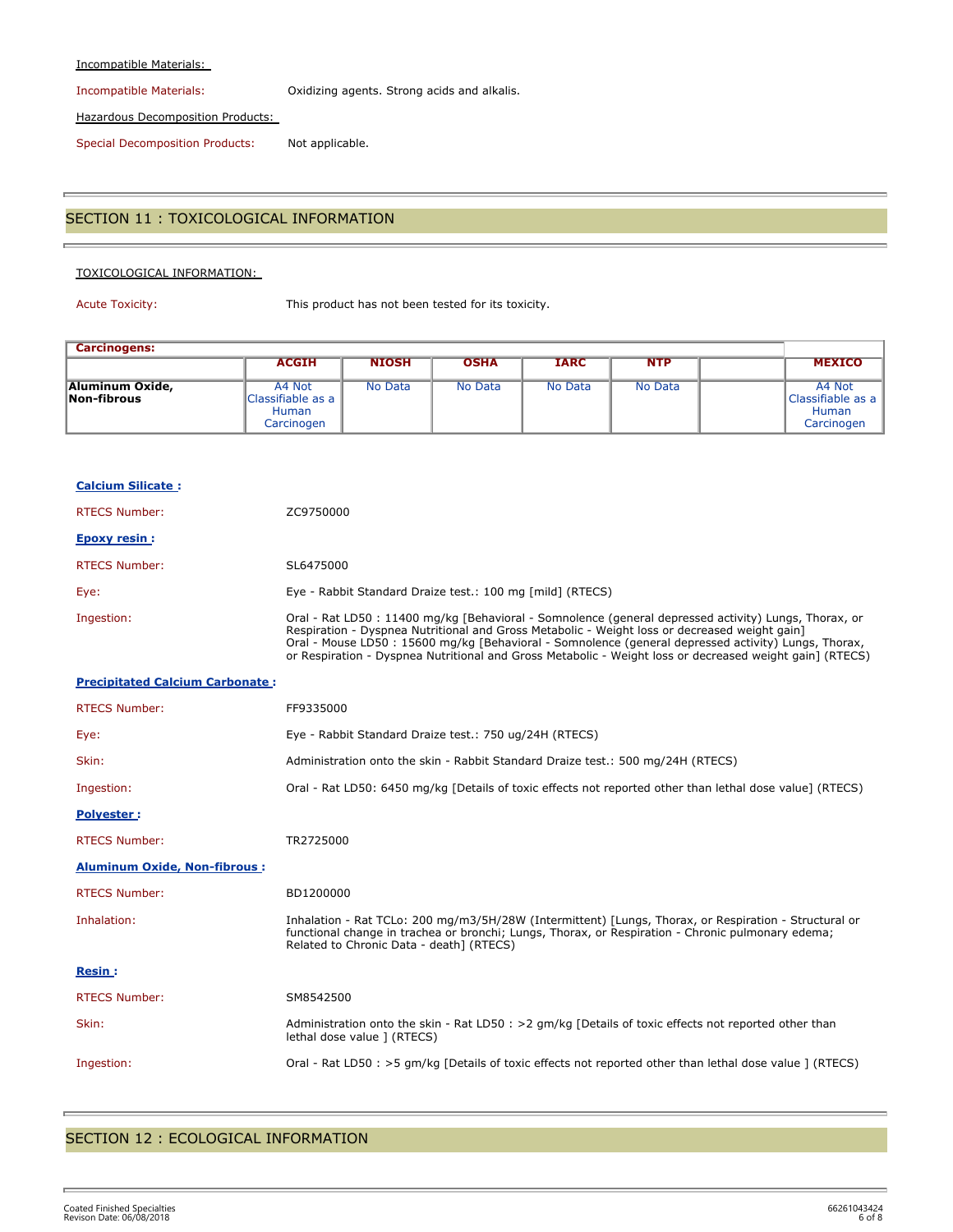### Incompatible Materials:

Incompatible Materials: Oxidizing agents. Strong acids and alkalis.

Hazardous Decomposition Products:

Special Decomposition Products: Not applicable.

### SECTION 11 : TOXICOLOGICAL INFORMATION

### TOXICOLOGICAL INFORMATION:

Acute Toxicity: This product has not been tested for its toxicity.

| <b>Carcinogens:</b>            |                                                           |              |             |             |            |                                                           |
|--------------------------------|-----------------------------------------------------------|--------------|-------------|-------------|------------|-----------------------------------------------------------|
|                                | <b>ACGIH</b>                                              | <b>NIOSH</b> | <b>OSHA</b> | <b>IARC</b> | <b>NTP</b> | <b>MEXICO</b>                                             |
| Aluminum Oxide,<br>Non-fibrous | A4 Not<br>Classifiable as a<br><b>Human</b><br>Carcinogen | No Data      | No Data     | No Data     | No Data    | A4 Not<br>Classifiable as a<br><b>Human</b><br>Carcinogen |

| <b>Calcium Silicate:</b>               |                                                                                                                                                                                                                                                                                                                                                                                                                            |
|----------------------------------------|----------------------------------------------------------------------------------------------------------------------------------------------------------------------------------------------------------------------------------------------------------------------------------------------------------------------------------------------------------------------------------------------------------------------------|
| <b>RTECS Number:</b>                   | ZC9750000                                                                                                                                                                                                                                                                                                                                                                                                                  |
| <b>Epoxy resin:</b>                    |                                                                                                                                                                                                                                                                                                                                                                                                                            |
| <b>RTECS Number:</b>                   | SL6475000                                                                                                                                                                                                                                                                                                                                                                                                                  |
| Eye:                                   | Eye - Rabbit Standard Draize test.: 100 mg [mild] (RTECS)                                                                                                                                                                                                                                                                                                                                                                  |
| Ingestion:                             | Oral - Rat LD50 : 11400 mg/kg [Behavioral - Somnolence (general depressed activity) Lungs, Thorax, or<br>Respiration - Dyspnea Nutritional and Gross Metabolic - Weight loss or decreased weight gain]<br>Oral - Mouse LD50 : 15600 mg/kg [Behavioral - Somnolence (general depressed activity) Lungs, Thorax,<br>or Respiration - Dyspnea Nutritional and Gross Metabolic - Weight loss or decreased weight gain] (RTECS) |
| <b>Precipitated Calcium Carbonate:</b> |                                                                                                                                                                                                                                                                                                                                                                                                                            |
| <b>RTECS Number:</b>                   | FF9335000                                                                                                                                                                                                                                                                                                                                                                                                                  |
| Eye:                                   | Eye - Rabbit Standard Draize test.: 750 ug/24H (RTECS)                                                                                                                                                                                                                                                                                                                                                                     |
| Skin:                                  | Administration onto the skin - Rabbit Standard Draize test.: 500 mg/24H (RTECS)                                                                                                                                                                                                                                                                                                                                            |
| Ingestion:                             | Oral - Rat LD50: 6450 mg/kg [Details of toxic effects not reported other than lethal dose value] (RTECS)                                                                                                                                                                                                                                                                                                                   |
| Polyester:                             |                                                                                                                                                                                                                                                                                                                                                                                                                            |
| <b>RTECS Number:</b>                   | TR2725000                                                                                                                                                                                                                                                                                                                                                                                                                  |
| <b>Aluminum Oxide, Non-fibrous:</b>    |                                                                                                                                                                                                                                                                                                                                                                                                                            |
| <b>RTECS Number:</b>                   | BD1200000                                                                                                                                                                                                                                                                                                                                                                                                                  |
| Inhalation:                            | Inhalation - Rat TCLo: 200 mg/m3/5H/28W (Intermittent) [Lungs, Thorax, or Respiration - Structural or<br>functional change in trachea or bronchi; Lungs, Thorax, or Respiration - Chronic pulmonary edema;<br>Related to Chronic Data - death] (RTECS)                                                                                                                                                                     |
| <b>Resin:</b>                          |                                                                                                                                                                                                                                                                                                                                                                                                                            |
| <b>RTECS Number:</b>                   | SM8542500                                                                                                                                                                                                                                                                                                                                                                                                                  |
| Skin:                                  | Administration onto the skin - Rat LD50 : > 2 gm/kg [Details of toxic effects not reported other than<br>lethal dose value 1 (RTECS)                                                                                                                                                                                                                                                                                       |
| Ingestion:                             | Oral - Rat LD50 : >5 gm/kg [Details of toxic effects not reported other than lethal dose value ] (RTECS)                                                                                                                                                                                                                                                                                                                   |

## SECTION 12 : ECOLOGICAL INFORMATION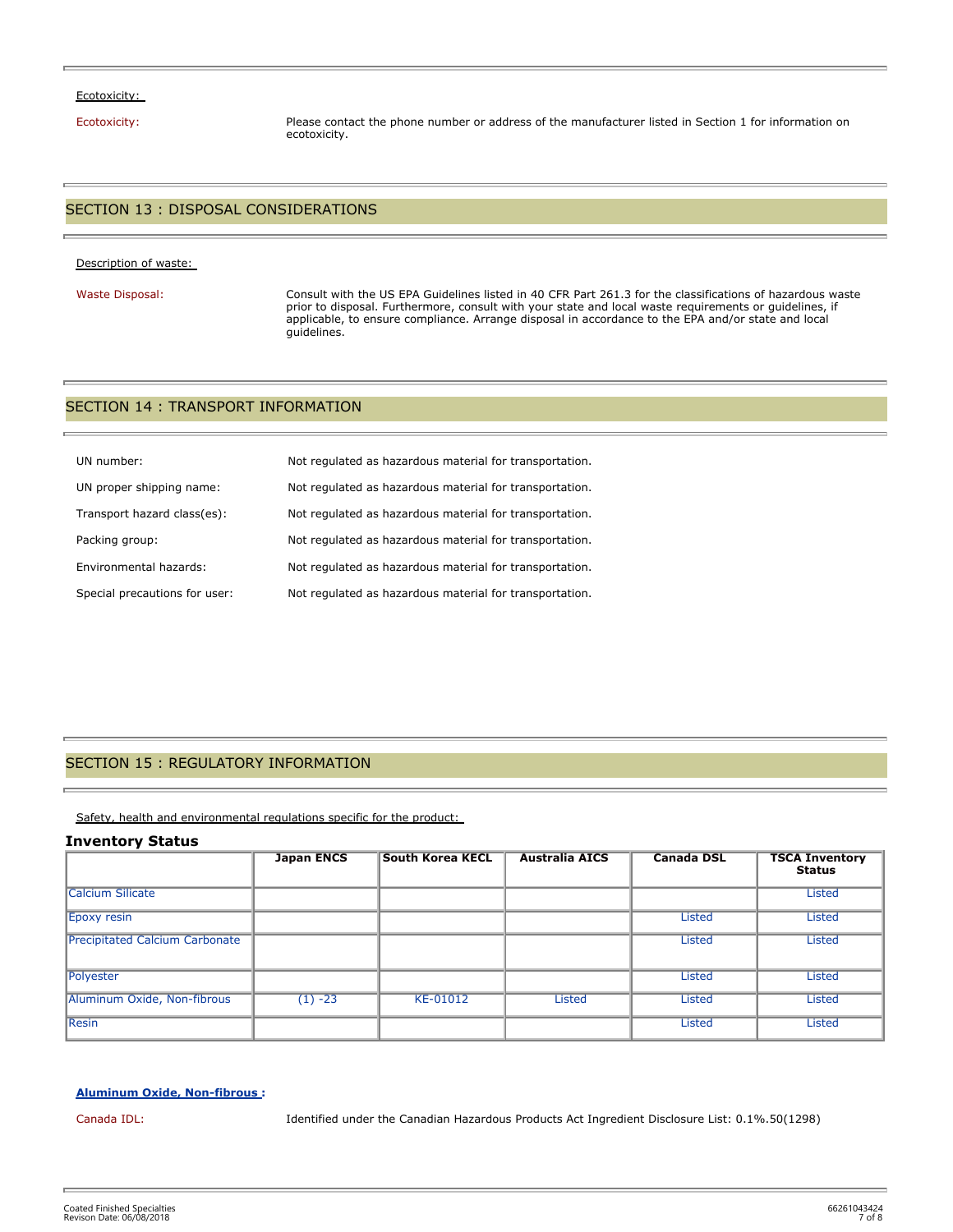### Ecotoxicity:

Ecotoxicity: Please contact the phone number or address of the manufacturer listed in Section 1 for information on ecotoxicity.

## SECTION 13 : DISPOSAL CONSIDERATIONS

### Description of waste:

Waste Disposal: Consult with the US EPA Guidelines listed in 40 CFR Part 261.3 for the classifications of hazardous waste prior to disposal. Furthermore, consult with your state and local waste requirements or guidelines, if applicable, to ensure compliance. Arrange disposal in accordance to the EPA and/or state and local guidelines.

### SECTION 14 : TRANSPORT INFORMATION

| UN number:                    | Not regulated as hazardous material for transportation. |
|-------------------------------|---------------------------------------------------------|
| UN proper shipping name:      | Not regulated as hazardous material for transportation. |
| Transport hazard class(es):   | Not regulated as hazardous material for transportation. |
| Packing group:                | Not regulated as hazardous material for transportation. |
| Environmental hazards:        | Not regulated as hazardous material for transportation. |
| Special precautions for user: | Not regulated as hazardous material for transportation. |

### SECTION 15 : REGULATORY INFORMATION

Safety, health and environmental regulations specific for the product:

### **Inventory Status**

|                                       | <b>Japan ENCS</b> | <b>South Korea KECL</b> | <b>Australia AICS</b> | <b>Canada DSL</b> | <b>TSCA Inventory</b><br><b>Status</b> |
|---------------------------------------|-------------------|-------------------------|-----------------------|-------------------|----------------------------------------|
| <b>Calcium Silicate</b>               |                   |                         |                       |                   | <b>Listed</b>                          |
| Epoxy resin                           |                   |                         |                       | Listed            | <b>Listed</b>                          |
| <b>Precipitated Calcium Carbonate</b> |                   |                         |                       | Listed            | <b>Listed</b>                          |
| Polyester                             |                   |                         |                       | <b>Listed</b>     | Listed                                 |
| Aluminum Oxide, Non-fibrous           | $(1) -23$         | KE-01012                | <b>Listed</b>         | <b>Listed</b>     | <b>Listed</b>                          |
| <b>Resin</b>                          |                   |                         |                       | <b>Listed</b>     | Listed                                 |

### **Aluminum Oxide, Non-fibrous :**

Canada IDL: Identified under the Canadian Hazardous Products Act Ingredient Disclosure List: 0.1%.50(1298)